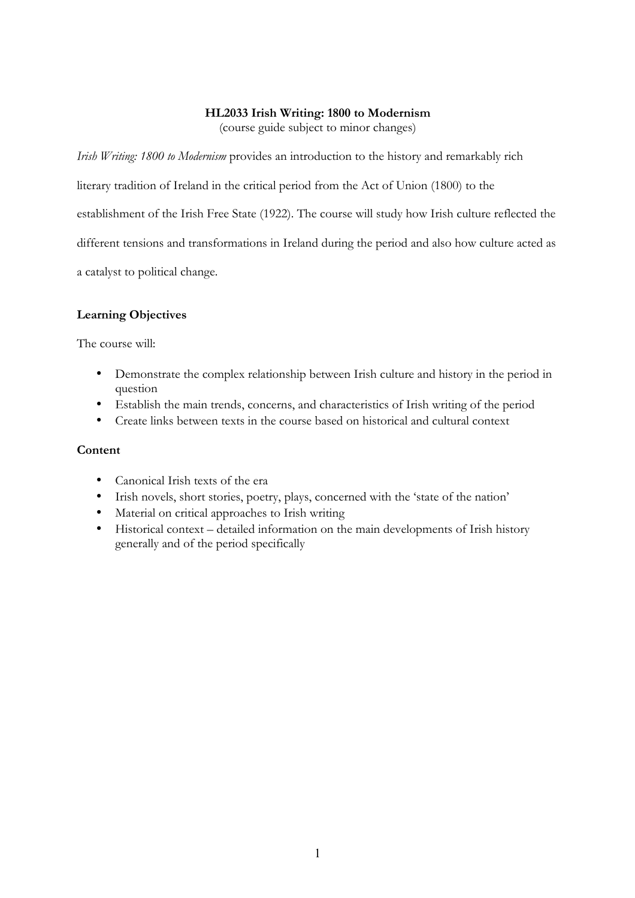#### **HL2033 Irish Writing: 1800 to Modernism**

(course guide subject to minor changes)

*Irish Writing: 1800 to Modernism* provides an introduction to the history and remarkably rich

literary tradition of Ireland in the critical period from the Act of Union (1800) to the

establishment of the Irish Free State (1922). The course will study how Irish culture reflected the

different tensions and transformations in Ireland during the period and also how culture acted as

a catalyst to political change.

### **Learning Objectives**

The course will:

- Demonstrate the complex relationship between Irish culture and history in the period in question
- Establish the main trends, concerns, and characteristics of Irish writing of the period
- Create links between texts in the course based on historical and cultural context

## **Content**

- Canonical Irish texts of the era
- Irish novels, short stories, poetry, plays, concerned with the 'state of the nation'
- Material on critical approaches to Irish writing
- Historical context detailed information on the main developments of Irish history generally and of the period specifically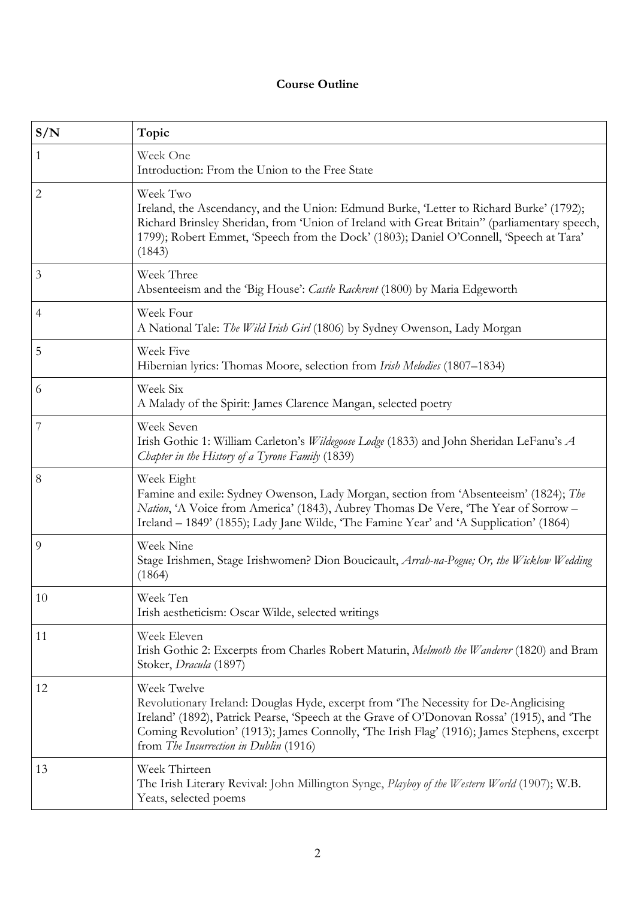# **Course Outline**

| S/N            | Topic                                                                                                                                                                                                                                                                                                                                     |
|----------------|-------------------------------------------------------------------------------------------------------------------------------------------------------------------------------------------------------------------------------------------------------------------------------------------------------------------------------------------|
| $\mathbf{1}$   | Week One<br>Introduction: From the Union to the Free State                                                                                                                                                                                                                                                                                |
| $\mathbf{2}$   | Week Two<br>Ireland, the Ascendancy, and the Union: Edmund Burke, 'Letter to Richard Burke' (1792);<br>Richard Brinsley Sheridan, from 'Union of Ireland with Great Britain'' (parliamentary speech,<br>1799); Robert Emmet, 'Speech from the Dock' (1803); Daniel O'Connell, 'Speech at Tara'<br>(1843)                                  |
| 3              | Week Three<br>Absenteeism and the 'Big House': Castle Rackrent (1800) by Maria Edgeworth                                                                                                                                                                                                                                                  |
| 4              | Week Four<br>A National Tale: The Wild Irish Girl (1806) by Sydney Owenson, Lady Morgan                                                                                                                                                                                                                                                   |
| 5              | Week Five<br>Hibernian lyrics: Thomas Moore, selection from Irish Melodies (1807–1834)                                                                                                                                                                                                                                                    |
| 6              | Week Six<br>A Malady of the Spirit: James Clarence Mangan, selected poetry                                                                                                                                                                                                                                                                |
| $\overline{7}$ | Week Seven<br>Irish Gothic 1: William Carleton's <i>Wildegoose Lodge</i> (1833) and John Sheridan LeFanu's A<br>Chapter in the History of a Tyrone Family (1839)                                                                                                                                                                          |
| 8              | Week Eight<br>Famine and exile: Sydney Owenson, Lady Morgan, section from 'Absenteeism' (1824); The<br>Nation, 'A Voice from America' (1843), Aubrey Thomas De Vere, 'The Year of Sorrow -<br>Ireland – 1849' (1855); Lady Jane Wilde, 'The Famine Year' and 'A Supplication' (1864)                                                      |
| 9              | Week Nine<br>Stage Irishmen, Stage Irishwomen? Dion Boucicault, Arrah-na-Pogue; Or, the Wicklow Wedding<br>(1864)                                                                                                                                                                                                                         |
| $10\,$         | Week Ten<br>Irish aestheticism: Oscar Wilde, selected writings                                                                                                                                                                                                                                                                            |
| 11             | Week Eleven<br>Irish Gothic 2: Excerpts from Charles Robert Maturin, Melmoth the Wanderer (1820) and Bram<br>Stoker, Dracula (1897)                                                                                                                                                                                                       |
| 12             | Week Twelve<br>Revolutionary Ireland: Douglas Hyde, excerpt from 'The Necessity for De-Anglicising<br>Ireland' (1892), Patrick Pearse, 'Speech at the Grave of O'Donovan Rossa' (1915), and 'The<br>Coming Revolution' (1913); James Connolly, 'The Irish Flag' (1916); James Stephens, excerpt<br>from The Insurrection in Dublin (1916) |
| 13             | Week Thirteen<br>The Irish Literary Revival: John Millington Synge, Playboy of the Western World (1907); W.B.<br>Yeats, selected poems                                                                                                                                                                                                    |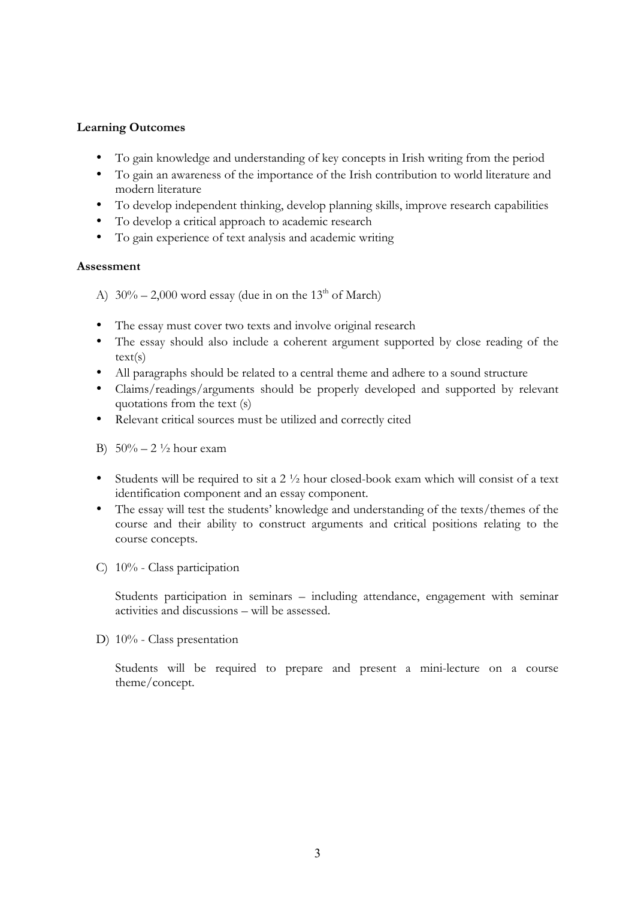### **Learning Outcomes**

- To gain knowledge and understanding of key concepts in Irish writing from the period
- To gain an awareness of the importance of the Irish contribution to world literature and modern literature
- To develop independent thinking, develop planning skills, improve research capabilities
- To develop a critical approach to academic research
- To gain experience of text analysis and academic writing

### **Assessment**

A)  $30\% - 2{,}000$  word essay (due in on the 13<sup>th</sup> of March)

- The essay must cover two texts and involve original research
- The essay should also include a coherent argument supported by close reading of the text(s)
- All paragraphs should be related to a central theme and adhere to a sound structure
- Claims/readings/arguments should be properly developed and supported by relevant quotations from the text (s)
- Relevant critical sources must be utilized and correctly cited

B)  $50\% - 2\frac{1}{2}$  hour exam

- Students will be required to sit a  $2 \frac{1}{2}$  hour closed-book exam which will consist of a text identification component and an essay component.
- The essay will test the students' knowledge and understanding of the texts/themes of the course and their ability to construct arguments and critical positions relating to the course concepts.
- C) 10% Class participation

Students participation in seminars – including attendance, engagement with seminar activities and discussions – will be assessed.

D) 10% - Class presentation

Students will be required to prepare and present a mini-lecture on a course theme/concept.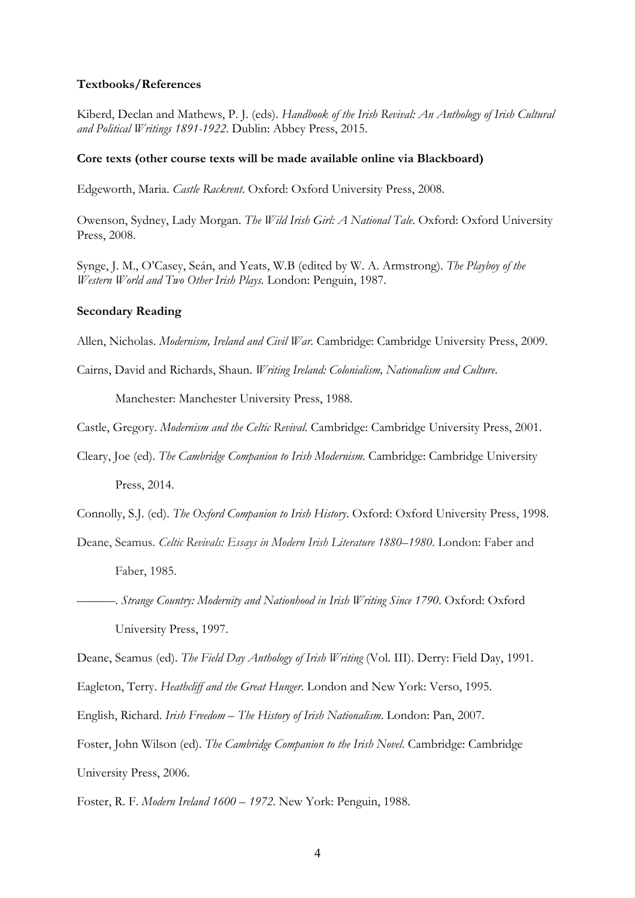#### **Textbooks/References**

Kiberd, Declan and Mathews, P. J. (eds). *Handbook of the Irish Revival: An Anthology of Irish Cultural and Political Writings 1891-1922*. Dublin: Abbey Press, 2015.

#### **Core texts (other course texts will be made available online via Blackboard)**

Edgeworth, Maria. *Castle Rackrent*. Oxford: Oxford University Press, 2008.

Owenson, Sydney, Lady Morgan. *The Wild Irish Girl: A National Tale*. Oxford: Oxford University Press, 2008.

Synge, J. M., O'Casey, Seán, and Yeats, W.B (edited by W. A. Armstrong). *The Playboy of the Western World and Two Other Irish Plays*. London: Penguin, 1987.

#### **Secondary Reading**

Allen, Nicholas. *Modernism, Ireland and Civil War.* Cambridge: Cambridge University Press, 2009.

Cairns, David and Richards, Shaun. *Writing Ireland: Colonialism, Nationalism and Culture*.

Manchester: Manchester University Press, 1988.

Castle, Gregory. *Modernism and the Celtic Revival*. Cambridge: Cambridge University Press, 2001.

Cleary, Joe (ed). *The Cambridge Companion to Irish Modernism*. Cambridge: Cambridge University Press, 2014.

Connolly, S.J. (ed). *The Oxford Companion to Irish History*. Oxford: Oxford University Press, 1998.

Deane, Seamus. *Celtic Revivals: Essays in Modern Irish Literature 1880–1980*. London: Faber and Faber, 1985.

———. *Strange Country: Modernity and Nationhood in Irish Writing Since 1790*. Oxford: Oxford University Press, 1997.

Deane, Seamus (ed). *The Field Day Anthology of Irish Writing* (Vol. III). Derry: Field Day, 1991.

Eagleton, Terry. *Heathcliff and the Great Hunger*. London and New York: Verso, 1995.

English, Richard. *Irish Freedom – The History of Irish Nationalism*. London: Pan, 2007.

Foster, John Wilson (ed). *The Cambridge Companion to the Irish Novel*. Cambridge: Cambridge University Press, 2006.

Foster, R. F. *Modern Ireland 1600* – *1972*. New York: Penguin, 1988.